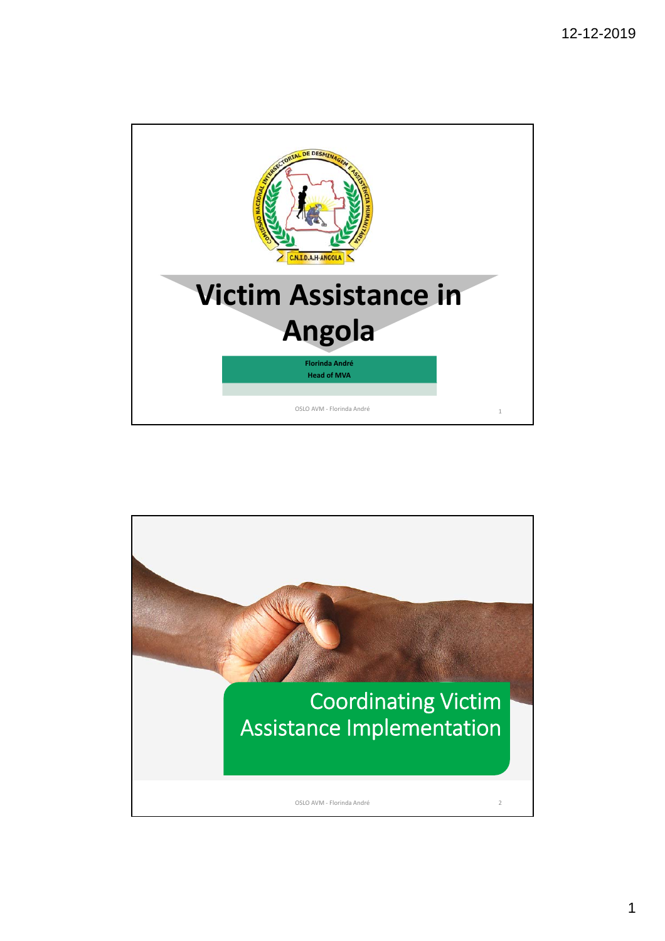

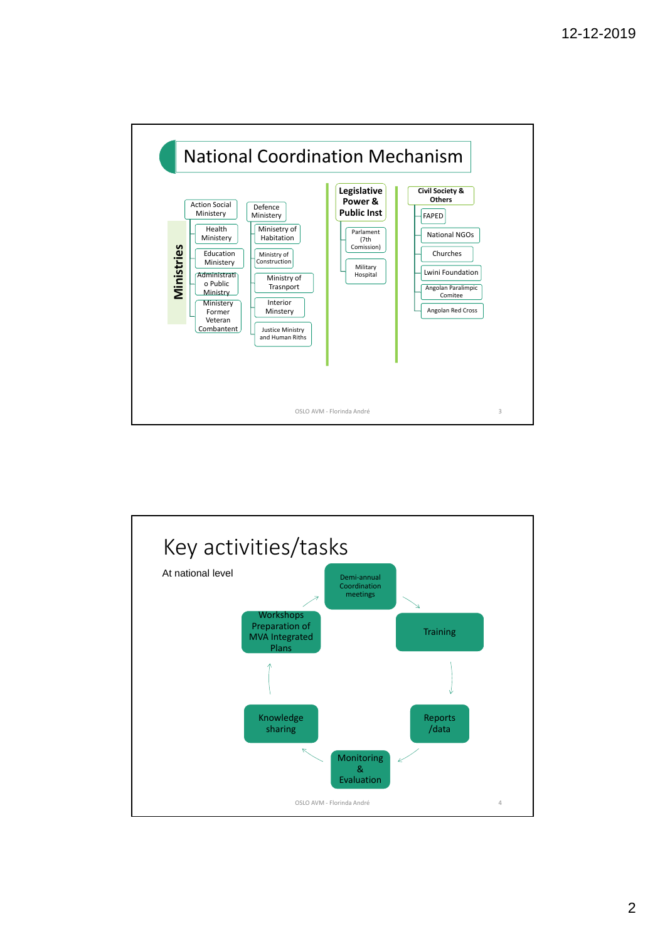

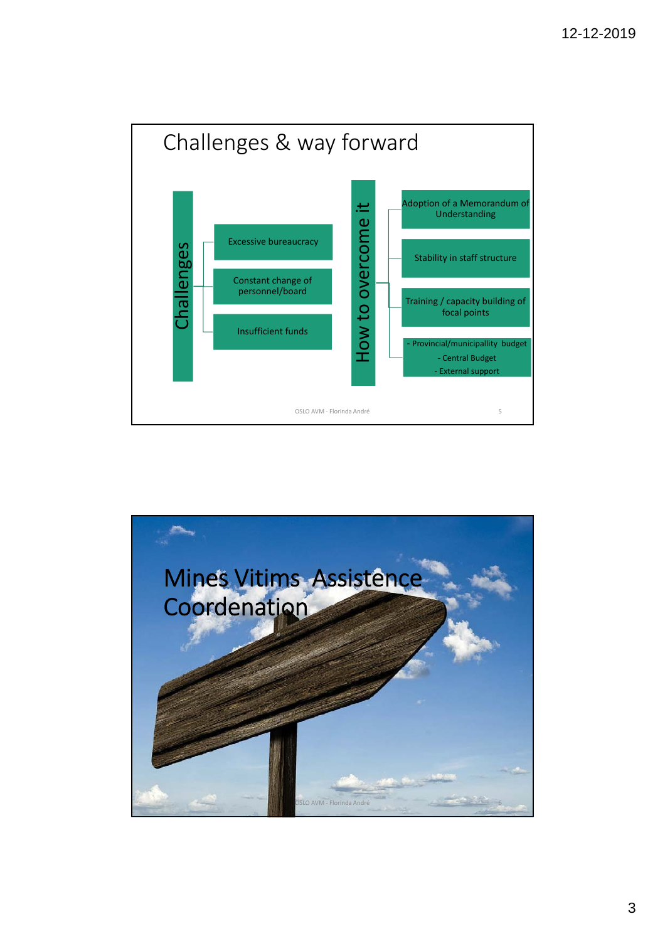

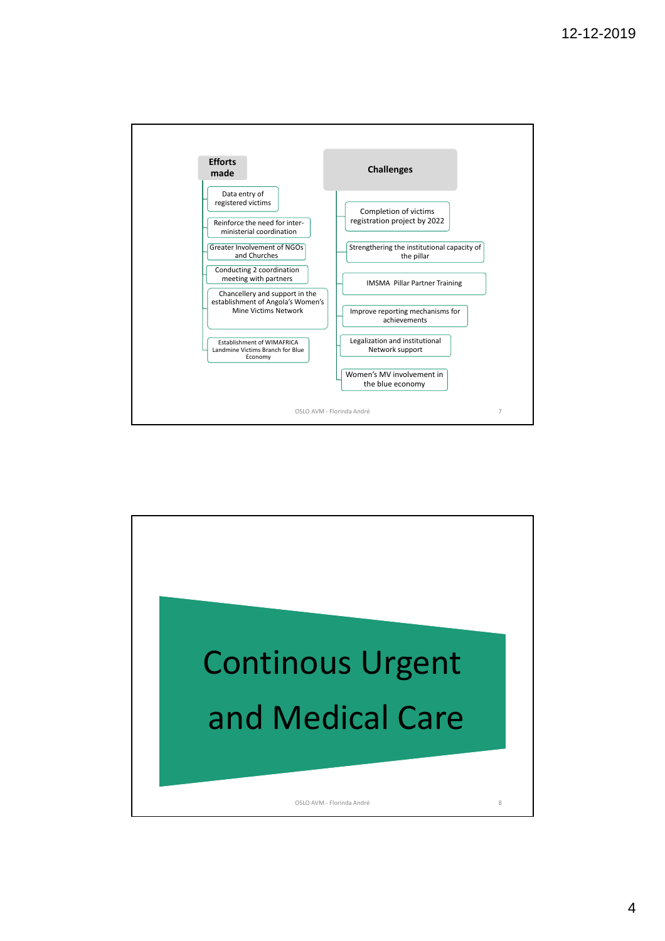

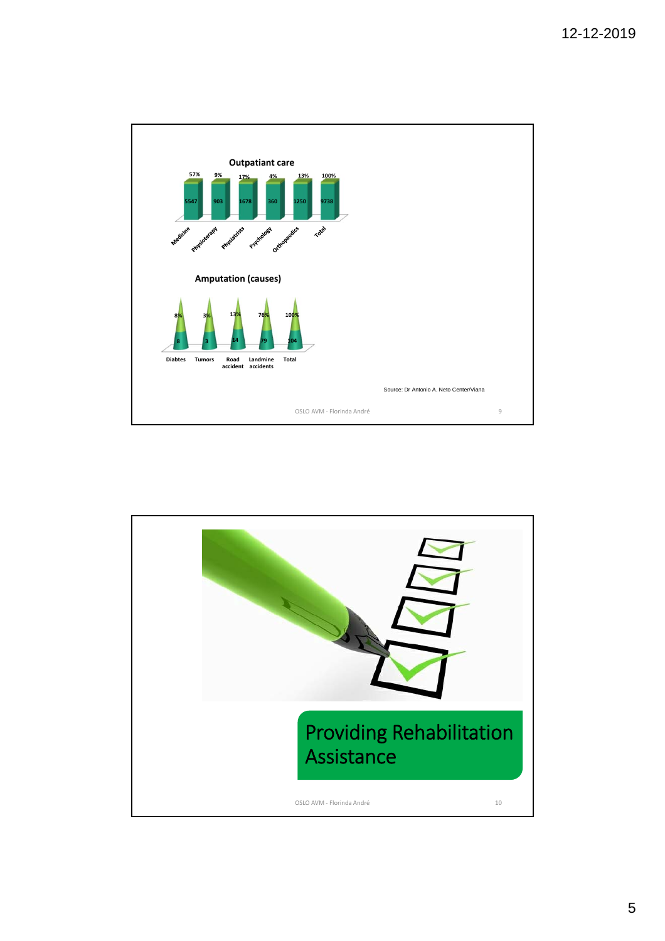

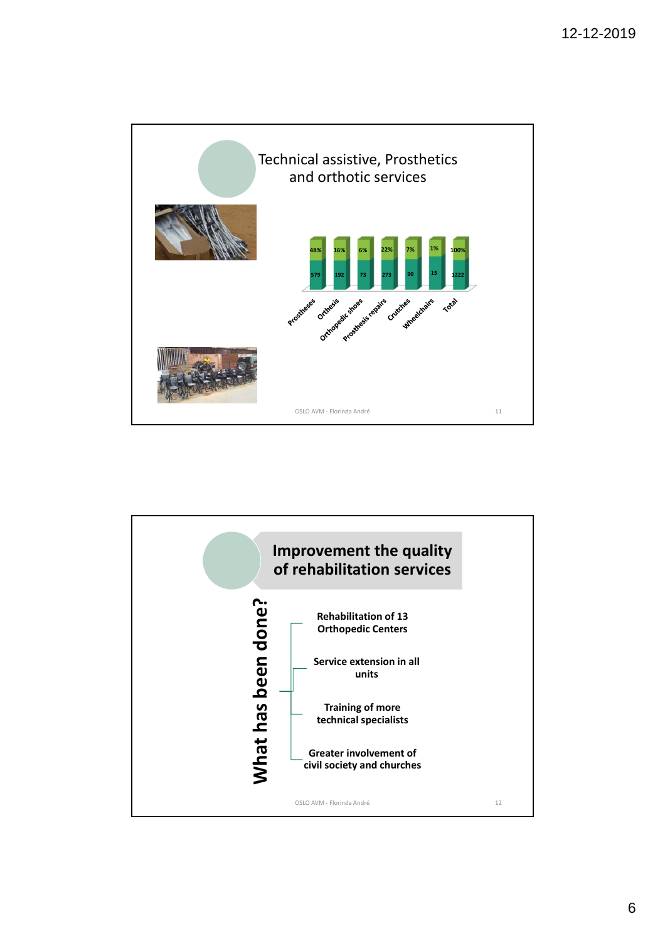

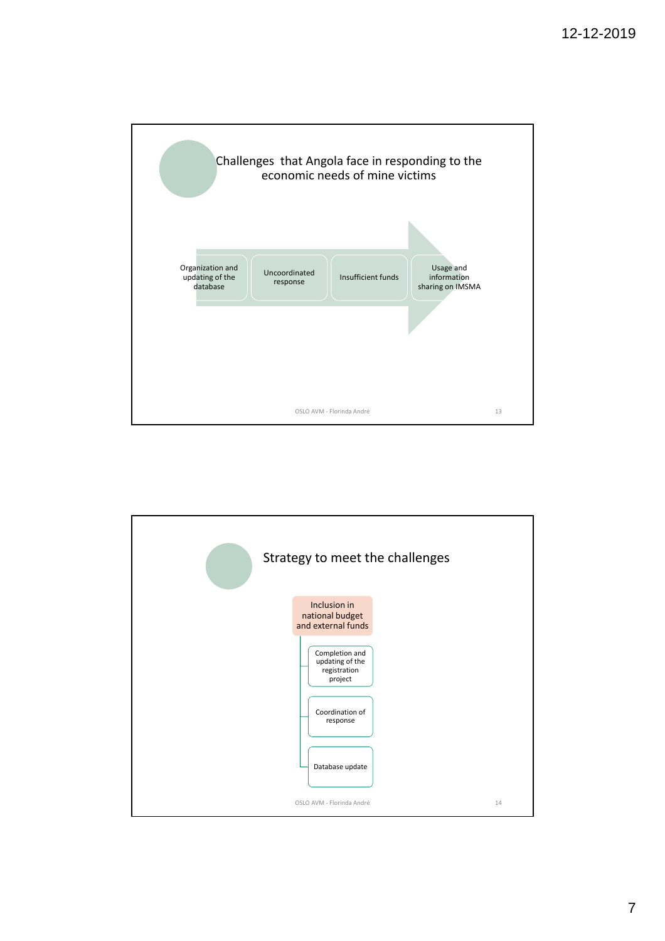

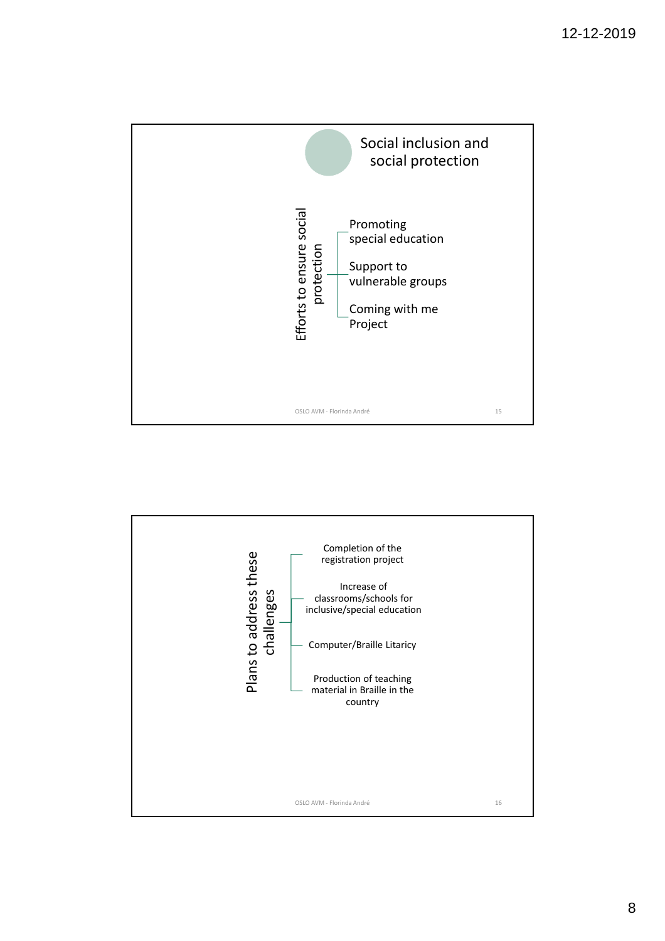

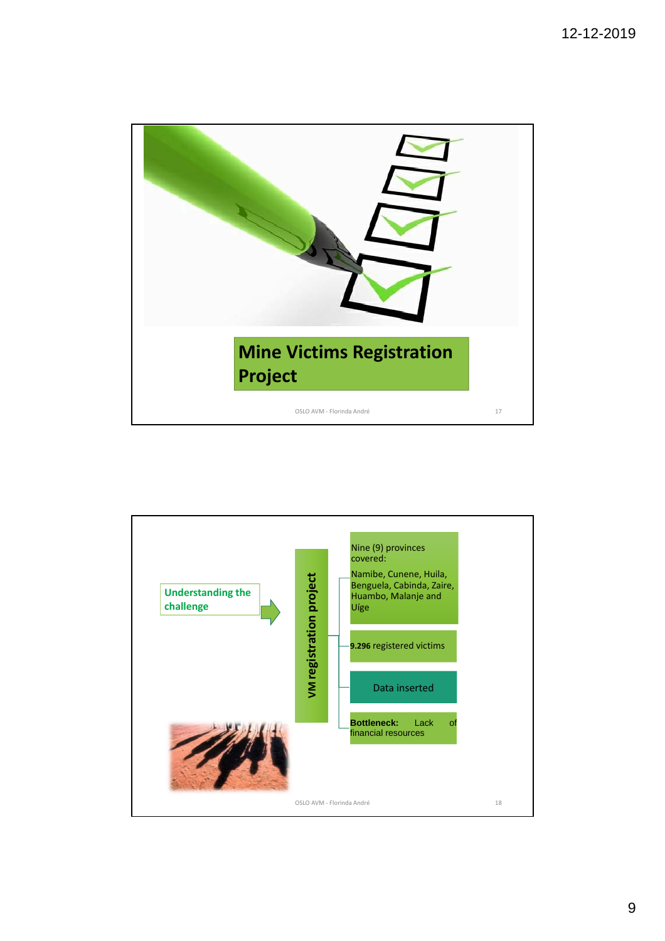

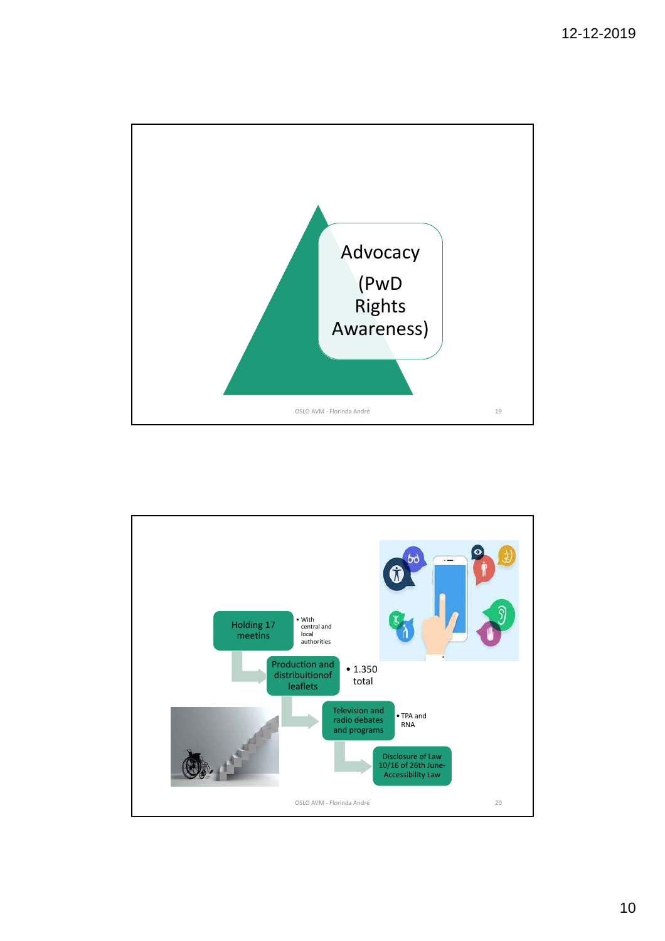